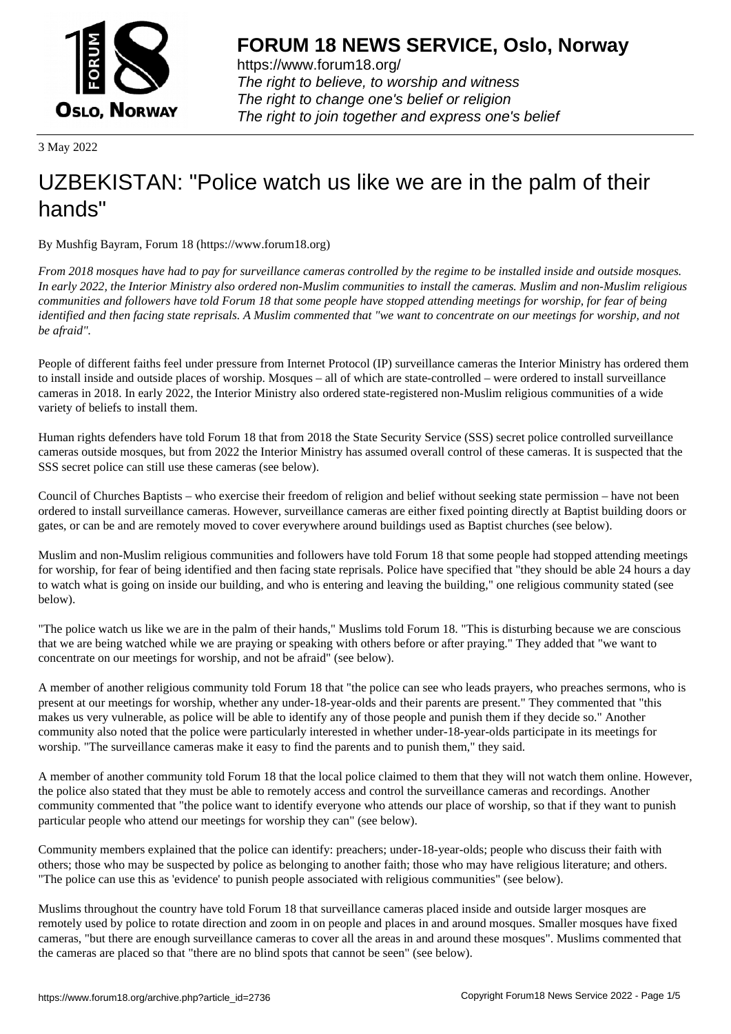

https://www.forum18.org/ The right to believe, to worship and witness The right to change one's belief or religion [The right to join together a](https://www.forum18.org/)nd express one's belief

3 May 2022

## [UZBEKISTAN:](https://www.forum18.org) "Police watch us like we are in the palm of their hands"

By Mushfig Bayram, Forum 18 (https://www.forum18.org)

*From 2018 mosques have had to pay for surveillance cameras controlled by the regime to be installed inside and outside mosques. In early 2022, the Interior Ministry also ordered non-Muslim communities to install the cameras. Muslim and non-Muslim religious communities and followers have told Forum 18 that some people have stopped attending meetings for worship, for fear of being identified and then facing state reprisals. A Muslim commented that "we want to concentrate on our meetings for worship, and not be afraid".*

People of different faiths feel under pressure from Internet Protocol (IP) surveillance cameras the Interior Ministry has ordered them to install inside and outside places of worship. Mosques – all of which are state-controlled – were ordered to install surveillance cameras in 2018. In early 2022, the Interior Ministry also ordered state-registered non-Muslim religious communities of a wide variety of beliefs to install them.

Human rights defenders have told Forum 18 that from 2018 the State Security Service (SSS) secret police controlled surveillance cameras outside mosques, but from 2022 the Interior Ministry has assumed overall control of these cameras. It is suspected that the SSS secret police can still use these cameras (see below).

Council of Churches Baptists – who exercise their freedom of religion and belief without seeking state permission – have not been ordered to install surveillance cameras. However, surveillance cameras are either fixed pointing directly at Baptist building doors or gates, or can be and are remotely moved to cover everywhere around buildings used as Baptist churches (see below).

Muslim and non-Muslim religious communities and followers have told Forum 18 that some people had stopped attending meetings for worship, for fear of being identified and then facing state reprisals. Police have specified that "they should be able 24 hours a day to watch what is going on inside our building, and who is entering and leaving the building," one religious community stated (see below).

"The police watch us like we are in the palm of their hands," Muslims told Forum 18. "This is disturbing because we are conscious that we are being watched while we are praying or speaking with others before or after praying." They added that "we want to concentrate on our meetings for worship, and not be afraid" (see below).

A member of another religious community told Forum 18 that "the police can see who leads prayers, who preaches sermons, who is present at our meetings for worship, whether any under-18-year-olds and their parents are present." They commented that "this makes us very vulnerable, as police will be able to identify any of those people and punish them if they decide so." Another community also noted that the police were particularly interested in whether under-18-year-olds participate in its meetings for worship. "The surveillance cameras make it easy to find the parents and to punish them," they said.

A member of another community told Forum 18 that the local police claimed to them that they will not watch them online. However, the police also stated that they must be able to remotely access and control the surveillance cameras and recordings. Another community commented that "the police want to identify everyone who attends our place of worship, so that if they want to punish particular people who attend our meetings for worship they can" (see below).

Community members explained that the police can identify: preachers; under-18-year-olds; people who discuss their faith with others; those who may be suspected by police as belonging to another faith; those who may have religious literature; and others. "The police can use this as 'evidence' to punish people associated with religious communities" (see below).

Muslims throughout the country have told Forum 18 that surveillance cameras placed inside and outside larger mosques are remotely used by police to rotate direction and zoom in on people and places in and around mosques. Smaller mosques have fixed cameras, "but there are enough surveillance cameras to cover all the areas in and around these mosques". Muslims commented that the cameras are placed so that "there are no blind spots that cannot be seen" (see below).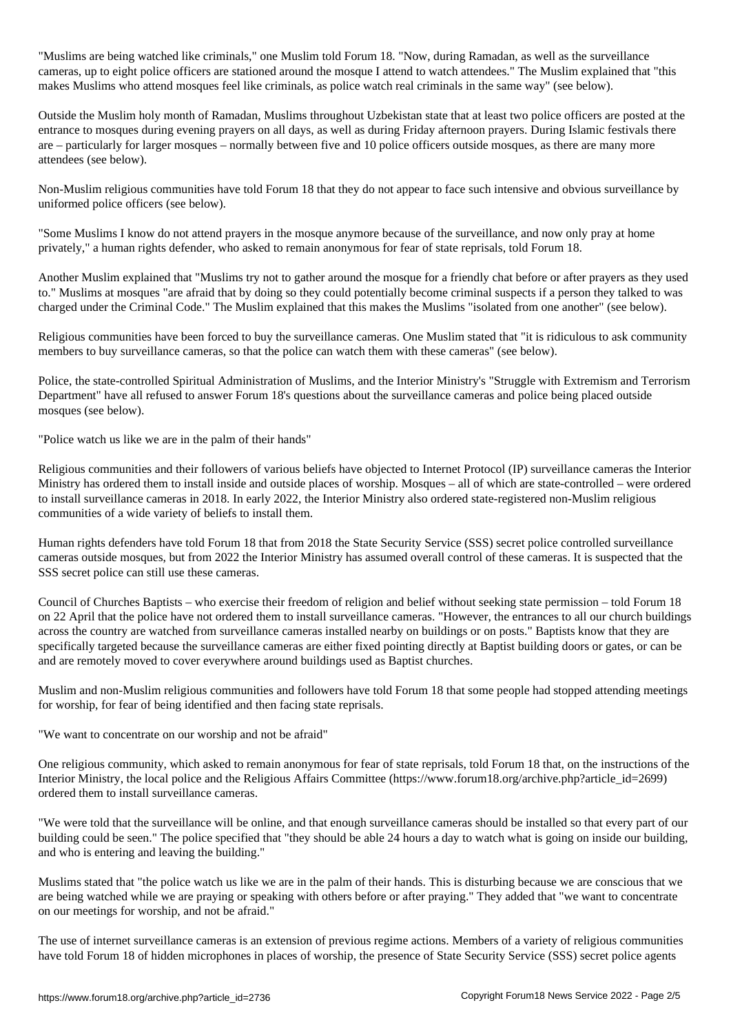"Muslims are being watched like criminals," one Muslim told Forum 18. "Now, during Ramadan, as well as the surveillance cameras, up to eight police officers are stationed around the mosque I attend to watch attendees." The Muslim explained that "this makes Muslims who attend mosques feel like criminals, as police watch real criminals in the same way" (see below).

Outside the Muslim holy month of Ramadan, Muslims throughout Uzbekistan state that at least two police officers are posted at the entrance to mosques during evening prayers on all days, as well as during Friday afternoon prayers. During Islamic festivals there are – particularly for larger mosques – normally between five and 10 police officers outside mosques, as there are many more attendees (see below).

Non-Muslim religious communities have told Forum 18 that they do not appear to face such intensive and obvious surveillance by uniformed police officers (see below).

"Some Muslims I know do not attend prayers in the mosque anymore because of the surveillance, and now only pray at home privately," a human rights defender, who asked to remain anonymous for fear of state reprisals, told Forum 18.

Another Muslim explained that "Muslims try not to gather around the mosque for a friendly chat before or after prayers as they used to." Muslims at mosques "are afraid that by doing so they could potentially become criminal suspects if a person they talked to was charged under the Criminal Code." The Muslim explained that this makes the Muslims "isolated from one another" (see below).

Religious communities have been forced to buy the surveillance cameras. One Muslim stated that "it is ridiculous to ask community members to buy surveillance cameras, so that the police can watch them with these cameras" (see below).

Police, the state-controlled Spiritual Administration of Muslims, and the Interior Ministry's "Struggle with Extremism and Terrorism Department" have all refused to answer Forum 18's questions about the surveillance cameras and police being placed outside mosques (see below).

"Police watch us like we are in the palm of their hands"

Religious communities and their followers of various beliefs have objected to Internet Protocol (IP) surveillance cameras the Interior Ministry has ordered them to install inside and outside places of worship. Mosques – all of which are state-controlled – were ordered to install surveillance cameras in 2018. In early 2022, the Interior Ministry also ordered state-registered non-Muslim religious communities of a wide variety of beliefs to install them.

Human rights defenders have told Forum 18 that from 2018 the State Security Service (SSS) secret police controlled surveillance cameras outside mosques, but from 2022 the Interior Ministry has assumed overall control of these cameras. It is suspected that the SSS secret police can still use these cameras.

Council of Churches Baptists – who exercise their freedom of religion and belief without seeking state permission – told Forum 18 on 22 April that the police have not ordered them to install surveillance cameras. "However, the entrances to all our church buildings across the country are watched from surveillance cameras installed nearby on buildings or on posts." Baptists know that they are specifically targeted because the surveillance cameras are either fixed pointing directly at Baptist building doors or gates, or can be and are remotely moved to cover everywhere around buildings used as Baptist churches.

Muslim and non-Muslim religious communities and followers have told Forum 18 that some people had stopped attending meetings for worship, for fear of being identified and then facing state reprisals.

"We want to concentrate on our worship and not be afraid"

One religious community, which asked to remain anonymous for fear of state reprisals, told Forum 18 that, on the instructions of the Interior Ministry, the local police and the Religious Affairs Committee (https://www.forum18.org/archive.php?article\_id=2699) ordered them to install surveillance cameras.

"We were told that the surveillance will be online, and that enough surveillance cameras should be installed so that every part of our building could be seen." The police specified that "they should be able 24 hours a day to watch what is going on inside our building, and who is entering and leaving the building."

Muslims stated that "the police watch us like we are in the palm of their hands. This is disturbing because we are conscious that we are being watched while we are praying or speaking with others before or after praying." They added that "we want to concentrate on our meetings for worship, and not be afraid."

The use of internet surveillance cameras is an extension of previous regime actions. Members of a variety of religious communities have told Forum 18 of hidden microphones in places of worship, the presence of State Security Service (SSS) secret police agents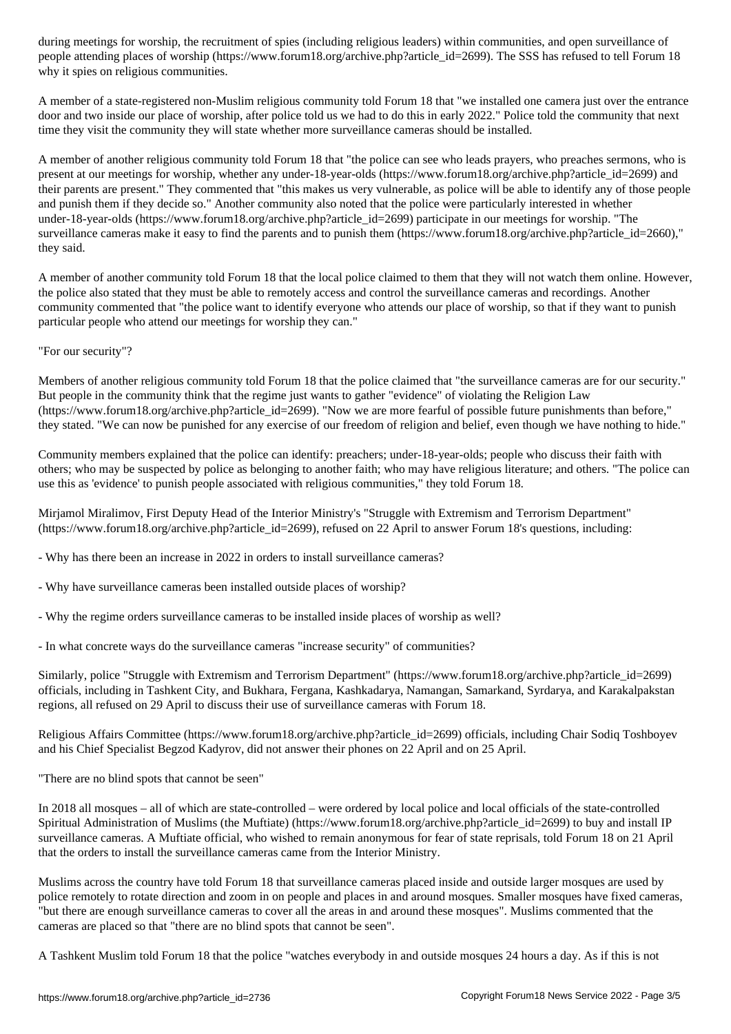people attending places of worship (https://www.forum18.org/archive.php?article\_id=2699). The SSS has refused to tell Forum 18 why it spies on religious communities.

A member of a state-registered non-Muslim religious community told Forum 18 that "we installed one camera just over the entrance door and two inside our place of worship, after police told us we had to do this in early 2022." Police told the community that next time they visit the community they will state whether more surveillance cameras should be installed.

A member of another religious community told Forum 18 that "the police can see who leads prayers, who preaches sermons, who is present at our meetings for worship, whether any under-18-year-olds (https://www.forum18.org/archive.php?article\_id=2699) and their parents are present." They commented that "this makes us very vulnerable, as police will be able to identify any of those people and punish them if they decide so." Another community also noted that the police were particularly interested in whether under-18-year-olds (https://www.forum18.org/archive.php?article\_id=2699) participate in our meetings for worship. "The surveillance cameras make it easy to find the parents and to punish them (https://www.forum18.org/archive.php?article\_id=2660)," they said.

A member of another community told Forum 18 that the local police claimed to them that they will not watch them online. However, the police also stated that they must be able to remotely access and control the surveillance cameras and recordings. Another community commented that "the police want to identify everyone who attends our place of worship, so that if they want to punish particular people who attend our meetings for worship they can."

"For our security"?

Members of another religious community told Forum 18 that the police claimed that "the surveillance cameras are for our security." But people in the community think that the regime just wants to gather "evidence" of violating the Religion Law (https://www.forum18.org/archive.php?article\_id=2699). "Now we are more fearful of possible future punishments than before," they stated. "We can now be punished for any exercise of our freedom of religion and belief, even though we have nothing to hide."

Community members explained that the police can identify: preachers; under-18-year-olds; people who discuss their faith with others; who may be suspected by police as belonging to another faith; who may have religious literature; and others. "The police can use this as 'evidence' to punish people associated with religious communities," they told Forum 18.

Mirjamol Miralimov, First Deputy Head of the Interior Ministry's "Struggle with Extremism and Terrorism Department" (https://www.forum18.org/archive.php?article\_id=2699), refused on 22 April to answer Forum 18's questions, including:

- Why has there been an increase in 2022 in orders to install surveillance cameras?

- Why have surveillance cameras been installed outside places of worship?

- Why the regime orders surveillance cameras to be installed inside places of worship as well?

- In what concrete ways do the surveillance cameras "increase security" of communities?

Similarly, police "Struggle with Extremism and Terrorism Department" (https://www.forum18.org/archive.php?article\_id=2699) officials, including in Tashkent City, and Bukhara, Fergana, Kashkadarya, Namangan, Samarkand, Syrdarya, and Karakalpakstan regions, all refused on 29 April to discuss their use of surveillance cameras with Forum 18.

Religious Affairs Committee (https://www.forum18.org/archive.php?article\_id=2699) officials, including Chair Sodiq Toshboyev and his Chief Specialist Begzod Kadyrov, did not answer their phones on 22 April and on 25 April.

"There are no blind spots that cannot be seen"

In 2018 all mosques – all of which are state-controlled – were ordered by local police and local officials of the state-controlled Spiritual Administration of Muslims (the Muftiate) (https://www.forum18.org/archive.php?article\_id=2699) to buy and install IP surveillance cameras. A Muftiate official, who wished to remain anonymous for fear of state reprisals, told Forum 18 on 21 April that the orders to install the surveillance cameras came from the Interior Ministry.

Muslims across the country have told Forum 18 that surveillance cameras placed inside and outside larger mosques are used by police remotely to rotate direction and zoom in on people and places in and around mosques. Smaller mosques have fixed cameras, "but there are enough surveillance cameras to cover all the areas in and around these mosques". Muslims commented that the cameras are placed so that "there are no blind spots that cannot be seen".

A Tashkent Muslim told Forum 18 that the police "watches everybody in and outside mosques 24 hours a day. As if this is not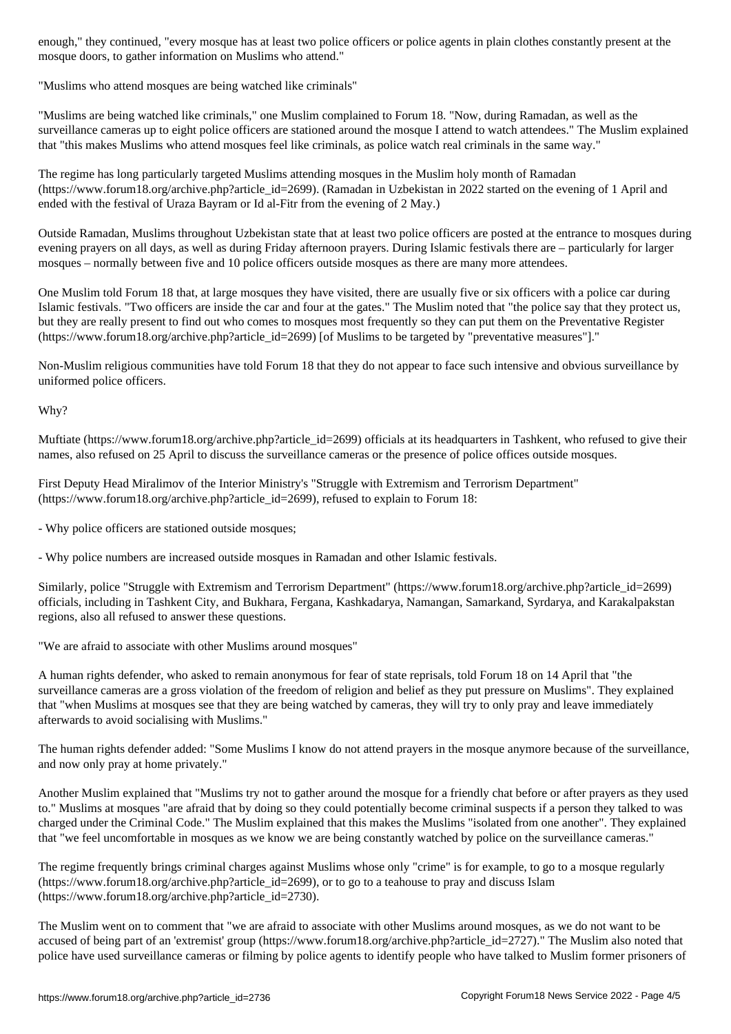"Muslims who attend mosques are being watched like criminals"

mosque doors, to gather information on Muslims who attend."

"Muslims are being watched like criminals," one Muslim complained to Forum 18. "Now, during Ramadan, as well as the surveillance cameras up to eight police officers are stationed around the mosque I attend to watch attendees." The Muslim explained that "this makes Muslims who attend mosques feel like criminals, as police watch real criminals in the same way."

The regime has long particularly targeted Muslims attending mosques in the Muslim holy month of Ramadan (https://www.forum18.org/archive.php?article\_id=2699). (Ramadan in Uzbekistan in 2022 started on the evening of 1 April and ended with the festival of Uraza Bayram or Id al-Fitr from the evening of 2 May.)

Outside Ramadan, Muslims throughout Uzbekistan state that at least two police officers are posted at the entrance to mosques during evening prayers on all days, as well as during Friday afternoon prayers. During Islamic festivals there are – particularly for larger mosques – normally between five and 10 police officers outside mosques as there are many more attendees.

One Muslim told Forum 18 that, at large mosques they have visited, there are usually five or six officers with a police car during Islamic festivals. "Two officers are inside the car and four at the gates." The Muslim noted that "the police say that they protect us, but they are really present to find out who comes to mosques most frequently so they can put them on the Preventative Register (https://www.forum18.org/archive.php?article\_id=2699) [of Muslims to be targeted by "preventative measures"]."

Non-Muslim religious communities have told Forum 18 that they do not appear to face such intensive and obvious surveillance by uniformed police officers.

Why?

Muftiate (https://www.forum18.org/archive.php?article\_id=2699) officials at its headquarters in Tashkent, who refused to give their names, also refused on 25 April to discuss the surveillance cameras or the presence of police offices outside mosques.

First Deputy Head Miralimov of the Interior Ministry's "Struggle with Extremism and Terrorism Department" (https://www.forum18.org/archive.php?article\_id=2699), refused to explain to Forum 18:

- Why police officers are stationed outside mosques;

- Why police numbers are increased outside mosques in Ramadan and other Islamic festivals.

Similarly, police "Struggle with Extremism and Terrorism Department" (https://www.forum18.org/archive.php?article\_id=2699) officials, including in Tashkent City, and Bukhara, Fergana, Kashkadarya, Namangan, Samarkand, Syrdarya, and Karakalpakstan regions, also all refused to answer these questions.

"We are afraid to associate with other Muslims around mosques"

A human rights defender, who asked to remain anonymous for fear of state reprisals, told Forum 18 on 14 April that "the surveillance cameras are a gross violation of the freedom of religion and belief as they put pressure on Muslims". They explained that "when Muslims at mosques see that they are being watched by cameras, they will try to only pray and leave immediately afterwards to avoid socialising with Muslims."

The human rights defender added: "Some Muslims I know do not attend prayers in the mosque anymore because of the surveillance, and now only pray at home privately."

Another Muslim explained that "Muslims try not to gather around the mosque for a friendly chat before or after prayers as they used to." Muslims at mosques "are afraid that by doing so they could potentially become criminal suspects if a person they talked to was charged under the Criminal Code." The Muslim explained that this makes the Muslims "isolated from one another". They explained that "we feel uncomfortable in mosques as we know we are being constantly watched by police on the surveillance cameras."

The regime frequently brings criminal charges against Muslims whose only "crime" is for example, to go to a mosque regularly (https://www.forum18.org/archive.php?article\_id=2699), or to go to a teahouse to pray and discuss Islam (https://www.forum18.org/archive.php?article\_id=2730).

The Muslim went on to comment that "we are afraid to associate with other Muslims around mosques, as we do not want to be accused of being part of an 'extremist' group (https://www.forum18.org/archive.php?article\_id=2727)." The Muslim also noted that police have used surveillance cameras or filming by police agents to identify people who have talked to Muslim former prisoners of